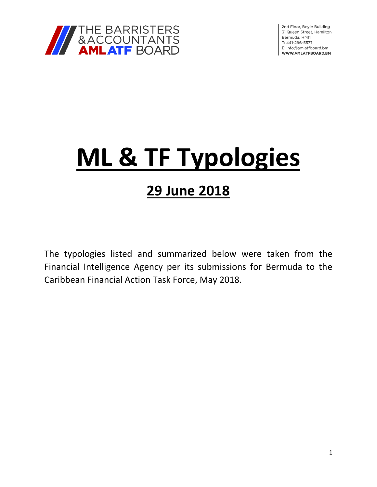

2nd Floor, Boyle Building 31 Queen Street, Hamilton Bermuda, HM11 T: 441-296-5577 E: info@amlatfboard.bm WWW.AMLATFBOARD.BM

# **ML & TF Typologies**

# **29 June 2018**

The typologies listed and summarized below were taken from the Financial Intelligence Agency per its submissions for Bermuda to the Caribbean Financial Action Task Force, May 2018.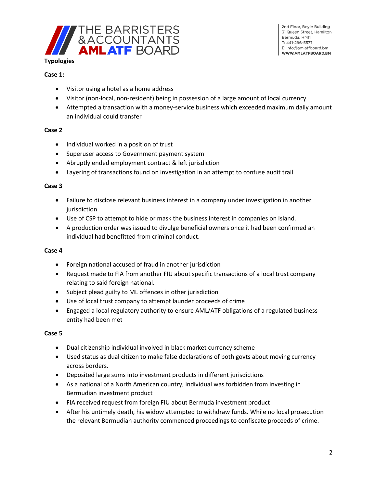

- Visitor using a hotel as a home address
- Visitor (non-local, non-resident) being in possession of a large amount of local currency
- Attempted a transaction with a money-service business which exceeded maximum daily amount an individual could transfer

#### **Case 2**

- Individual worked in a position of trust
- Superuser access to Government payment system
- Abruptly ended employment contract & left jurisdiction
- Layering of transactions found on investigation in an attempt to confuse audit trail

#### **Case 3**

- Failure to disclose relevant business interest in a company under investigation in another jurisdiction
- Use of CSP to attempt to hide or mask the business interest in companies on Island.
- A production order was issued to divulge beneficial owners once it had been confirmed an individual had benefitted from criminal conduct.

#### **Case 4**

- Foreign national accused of fraud in another jurisdiction
- Request made to FIA from another FIU about specific transactions of a local trust company relating to said foreign national.
- Subject plead guilty to ML offences in other jurisdiction
- Use of local trust company to attempt launder proceeds of crime
- Engaged a local regulatory authority to ensure AML/ATF obligations of a regulated business entity had been met

#### **Case 5**

- Dual citizenship individual involved in black market currency scheme
- Used status as dual citizen to make false declarations of both govts about moving currency across borders.
- Deposited large sums into investment products in different jurisdictions
- As a national of a North American country, individual was forbidden from investing in Bermudian investment product
- FIA received request from foreign FIU about Bermuda investment product
- After his untimely death, his widow attempted to withdraw funds. While no local prosecution the relevant Bermudian authority commenced proceedings to confiscate proceeds of crime.

2nd Floor, Boyle Building 31 Queen Street, Hamilton Bermuda, HM11 T: 441-296-5577 E: info@amlatfboard.bm WWW.AMLATFBOARD.BM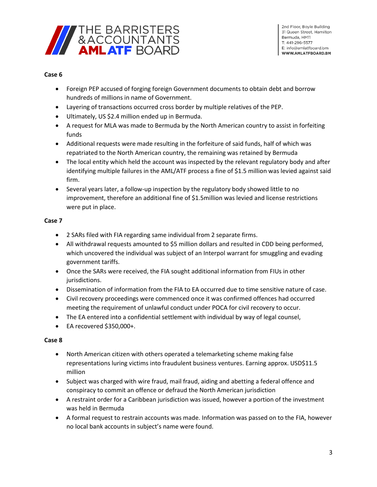

#### **Case 6**

- Foreign PEP accused of forging foreign Government documents to obtain debt and borrow hundreds of millions in name of Government.
- Layering of transactions occurred cross border by multiple relatives of the PEP.
- Ultimately, US \$2.4 million ended up in Bermuda.
- A request for MLA was made to Bermuda by the North American country to assist in forfeiting funds
- Additional requests were made resulting in the forfeiture of said funds, half of which was repatriated to the North American country, the remaining was retained by Bermuda
- The local entity which held the account was inspected by the relevant regulatory body and after identifying multiple failures in the AML/ATF process a fine of \$1.5 million was levied against said firm.
- Several years later, a follow-up inspection by the regulatory body showed little to no improvement, therefore an additional fine of \$1.5million was levied and license restrictions were put in place.

#### **Case 7**

- 2 SARs filed with FIA regarding same individual from 2 separate firms.
- All withdrawal requests amounted to \$5 million dollars and resulted in CDD being performed, which uncovered the individual was subject of an Interpol warrant for smuggling and evading government tariffs.
- Once the SARs were received, the FIA sought additional information from FIUs in other jurisdictions.
- Dissemination of information from the FIA to EA occurred due to time sensitive nature of case.
- Civil recovery proceedings were commenced once it was confirmed offences had occurred meeting the requirement of unlawful conduct under POCA for civil recovery to occur.
- The EA entered into a confidential settlement with individual by way of legal counsel,
- EA recovered \$350,000+.

- North American citizen with others operated a telemarketing scheme making false representations luring victims into fraudulent business ventures. Earning approx. USD\$11.5 million
- Subject was charged with wire fraud, mail fraud, aiding and abetting a federal offence and conspiracy to commit an offence or defraud the North American jurisdiction
- A restraint order for a Caribbean jurisdiction was issued, however a portion of the investment was held in Bermuda
- A formal request to restrain accounts was made. Information was passed on to the FIA, however no local bank accounts in subject's name were found.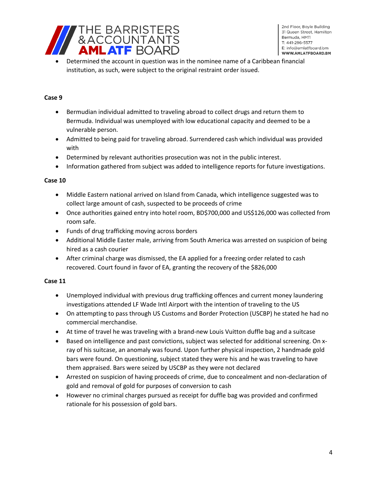

• Determined the account in question was in the nominee name of a Caribbean financial institution, as such, were subject to the original restraint order issued.

#### **Case 9**

- Bermudian individual admitted to traveling abroad to collect drugs and return them to Bermuda. Individual was unemployed with low educational capacity and deemed to be a vulnerable person.
- Admitted to being paid for traveling abroad. Surrendered cash which individual was provided with
- Determined by relevant authorities prosecution was not in the public interest.
- Information gathered from subject was added to intelligence reports for future investigations.

#### **Case 10**

- Middle Eastern national arrived on Island from Canada, which intelligence suggested was to collect large amount of cash, suspected to be proceeds of crime
- Once authorities gained entry into hotel room, BD\$700,000 and US\$126,000 was collected from room safe.
- Funds of drug trafficking moving across borders
- Additional Middle Easter male, arriving from South America was arrested on suspicion of being hired as a cash courier
- After criminal charge was dismissed, the EA applied for a freezing order related to cash recovered. Court found in favor of EA, granting the recovery of the \$826,000

- Unemployed individual with previous drug trafficking offences and current money laundering investigations attended LF Wade Intl Airport with the intention of traveling to the US
- On attempting to pass through US Customs and Border Protection (USCBP) he stated he had no commercial merchandise.
- At time of travel he was traveling with a brand-new Louis Vuitton duffle bag and a suitcase
- Based on intelligence and past convictions, subject was selected for additional screening. On xray of his suitcase, an anomaly was found. Upon further physical inspection, 2 handmade gold bars were found. On questioning, subject stated they were his and he was traveling to have them appraised. Bars were seized by USCBP as they were not declared
- Arrested on suspicion of having proceeds of crime, due to concealment and non-declaration of gold and removal of gold for purposes of conversion to cash
- However no criminal charges pursued as receipt for duffle bag was provided and confirmed rationale for his possession of gold bars.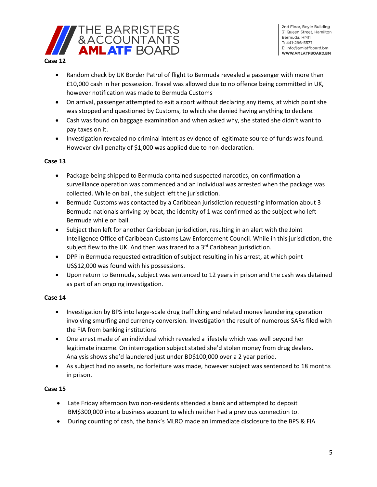

- Random check by UK Border Patrol of flight to Bermuda revealed a passenger with more than £10,000 cash in her possession. Travel was allowed due to no offence being committed in UK, however notification was made to Bermuda Customs
- On arrival, passenger attempted to exit airport without declaring any items, at which point she was stopped and questioned by Customs, to which she denied having anything to declare.
- Cash was found on baggage examination and when asked why, she stated she didn't want to pay taxes on it.
- Investigation revealed no criminal intent as evidence of legitimate source of funds was found. However civil penalty of \$1,000 was applied due to non-declaration.

#### **Case 13**

- Package being shipped to Bermuda contained suspected narcotics, on confirmation a surveillance operation was commenced and an individual was arrested when the package was collected. While on bail, the subject left the jurisdiction.
- Bermuda Customs was contacted by a Caribbean jurisdiction requesting information about 3 Bermuda nationals arriving by boat, the identity of 1 was confirmed as the subject who left Bermuda while on bail.
- Subject then left for another Caribbean jurisdiction, resulting in an alert with the Joint Intelligence Office of Caribbean Customs Law Enforcement Council. While in this jurisdiction, the subject flew to the UK. And then was traced to a  $3<sup>rd</sup>$  Caribbean jurisdiction.
- DPP in Bermuda requested extradition of subject resulting in his arrest, at which point US\$12,000 was found with his possessions.
- Upon return to Bermuda, subject was sentenced to 12 years in prison and the cash was detained as part of an ongoing investigation.

## **Case 14**

- Investigation by BPS into large-scale drug trafficking and related money laundering operation involving smurfing and currency conversion. Investigation the result of numerous SARs filed with the FIA from banking institutions
- One arrest made of an individual which revealed a lifestyle which was well beyond her legitimate income. On interrogation subject stated she'd stolen money from drug dealers. Analysis shows she'd laundered just under BD\$100,000 over a 2 year period.
- As subject had no assets, no forfeiture was made, however subject was sentenced to 18 months in prison.

- Late Friday afternoon two non-residents attended a bank and attempted to deposit BM\$300,000 into a business account to which neither had a previous connection to.
- During counting of cash, the bank's MLRO made an immediate disclosure to the BPS & FIA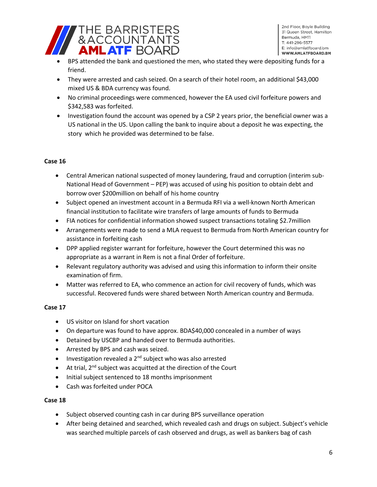

2nd Floor, Boyle Building 31 Queen Street, Hamilton Bermuda, HM11 T: 441-296-5577 E: info@amlatfboard.bm WWW.AMLATFBOARD.BM

- BPS attended the bank and questioned the men, who stated they were depositing funds for a friend.
- They were arrested and cash seized. On a search of their hotel room, an additional \$43,000 mixed US & BDA currency was found.
- No criminal proceedings were commenced, however the EA used civil forfeiture powers and \$342,583 was forfeited.
- Investigation found the account was opened by a CSP 2 years prior, the beneficial owner was a US national in the US. Upon calling the bank to inquire about a deposit he was expecting, the story which he provided was determined to be false.

#### **Case 16**

- Central American national suspected of money laundering, fraud and corruption (interim sub-National Head of Government – PEP) was accused of using his position to obtain debt and borrow over \$200million on behalf of his home country
- Subject opened an investment account in a Bermuda RFI via a well-known North American financial institution to facilitate wire transfers of large amounts of funds to Bermuda
- FIA notices for confidential information showed suspect transactions totaling \$2.7million
- Arrangements were made to send a MLA request to Bermuda from North American country for assistance in forfeiting cash
- DPP applied register warrant for forfeiture, however the Court determined this was no appropriate as a warrant in Rem is not a final Order of forfeiture.
- Relevant regulatory authority was advised and using this information to inform their onsite examination of firm.
- Matter was referred to EA, who commence an action for civil recovery of funds, which was successful. Recovered funds were shared between North American country and Bermuda.

#### **Case 17**

- US visitor on Island for short vacation
- On departure was found to have approx. BDA\$40,000 concealed in a number of ways
- Detained by USCBP and handed over to Bermuda authorities.
- Arrested by BPS and cash was seized.
- Investigation revealed a  $2^{nd}$  subject who was also arrested
- $\bullet$  At trial, 2<sup>nd</sup> subject was acquitted at the direction of the Court
- Initial subject sentenced to 18 months imprisonment
- Cash was forfeited under POCA

- Subject observed counting cash in car during BPS surveillance operation
- After being detained and searched, which revealed cash and drugs on subject. Subject's vehicle was searched multiple parcels of cash observed and drugs, as well as bankers bag of cash